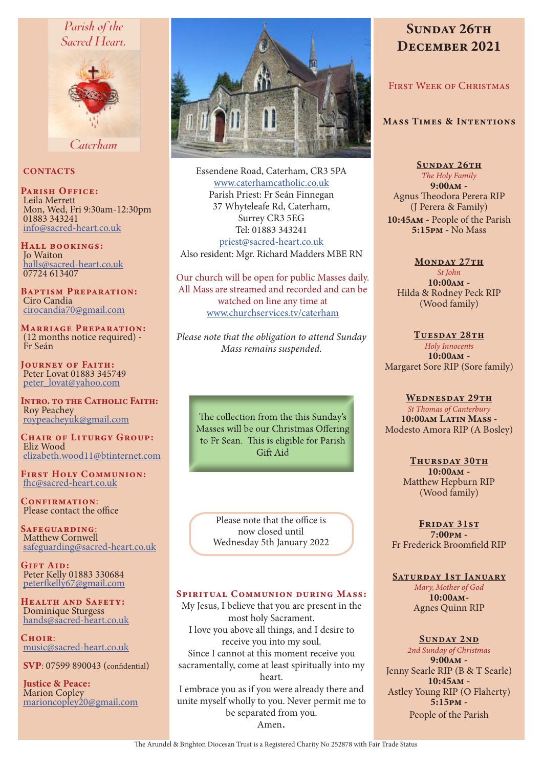# Parish of the Sacred Heart.



Caterham

## **CONTACTS**

PARISH OFFICE: Leila Merrett Mon, Wed, Fri 9:30am-12:30pm 01883 343241 info@sacred-heart.co.uk

Hall bookings: Jo Waiton halls@sacred-heart.co.uk 07724 613407

Baptism Preparation: Ciro Candia cirocandia70@gmail.com

Marriage Preparation: (12 months notice required) - Fr Seán

Journey of Faith: Peter Lovat 01883 345749 peter\_lovat@yahoo.com

Intro. to the Catholic Faith: Roy Peachey roypeacheyuk@gmail.com

CHAIR OF LITURGY GROUP: Eliz Wood elizabeth.wood11@btinternet.com

First Holy Communion: fhc@sacred-heart.co.uk

CONFIRMATION: Please contact the office

Safeguarding: Matthew Cornwell safeguarding@sacred-heart.co.uk

GIFT AID: Peter Kelly 01883 330684 peterfkelly67@gmail.com

Health and Safety: Dominique Sturgess hands@sacred-heart.co.uk

 $C$ HOIP: music@sacred-heart.co.uk

SVP: 07599 890043 (confidential)

Justice & Peace: Marion Copley marioncopley20@gmail.com



Essendene Road, Caterham, CR3 5PA www.caterhamcatholic.co.uk Parish Priest: Fr Seán Finnegan 37 Whyteleafe Rd, Caterham, Surrey CR3 5EG Tel: 01883 343241 priest@sacred-heart.co.uk Also resident: Mgr. Richard Madders MBE RN

Our church will be open for public Masses daily. All Mass are streamed and recorded and can be watched on line any time at www.churchservices.tv/caterham

*Please note that the obligation to attend Sunday Mass remains suspended.*

The collection from the this Sunday's Masses will be our Christmas Offering to Fr Sean. This is eligible for Parish Gift Aid

Please note that the office is now closed until Wednesday 5th January 2022

### SPIRITUAL COMMUNION DURING MASS:

My Jesus, I believe that you are present in the most holy Sacrament. I love you above all things, and I desire to receive you into my soul. Since I cannot at this moment receive you sacramentally, come at least spiritually into my heart. I embrace you as if you were already there and unite myself wholly to you. Never permit me to be separated from you. Amen.

# SUNDAY 26TH DECEMBER 2021

## First Week of Christmas

### Mass Times & Intentions

SUNDAY 26TH *The Holy Family* 9:00am - Agnus Theodora Perera RIP (J Perera & Family) 10:45am - People of the Parish 5:15pm - No Mass

MONDAY 27TH *St John* 10:00am - Hilda & Rodney Peck RIP (Wood family)

TUESDAY 28TH *Holy Innocents* 10:00am - Margaret Sore RIP (Sore family)

WEDNESDAY 29TH *St Thomas of Canterbury* 10:00am Latin Mass -Modesto Amora RIP (A Bosley)

> THURSDAY 30TH 10:00am - Matthew Hepburn RIP (Wood family)

FRIDAY 31ST 7:00pm - Fr Frederick Broomfield RIP

### SATURDAY 1ST JANUARY

*Mary, Mother of God*  $10:00$  $\text{AM}$ -Agnes Quinn RIP

SUNDAY 2ND *2nd Sunday of Christmas* 9:00am -

Jenny Searle RIP (B & T Searle) 10:45am - Astley Young RIP (O Flaherty) 5:15pm - People of the Parish